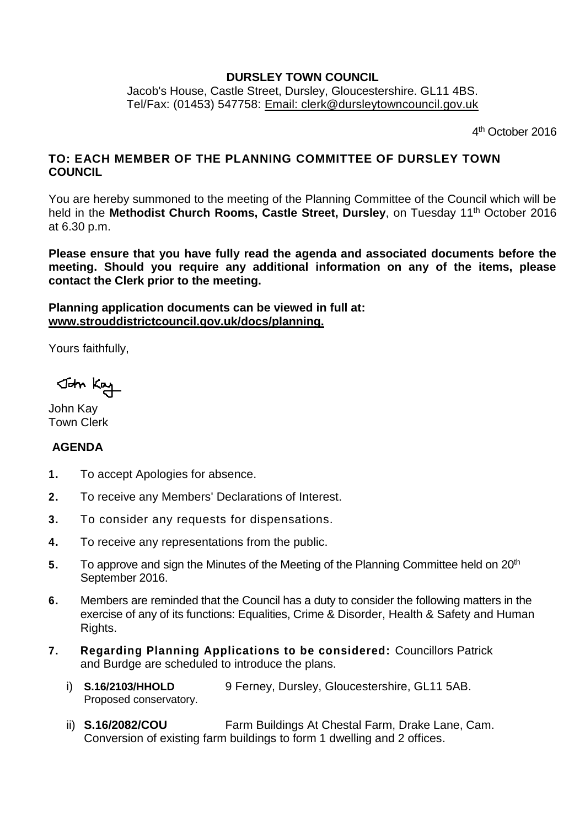## **DURSLEY TOWN COUNCIL**

Jacob's House, Castle Street, Dursley, Gloucestershire. GL11 4BS. Tel/Fax: (01453) 547758: [Email: clerk@dursleytowncouncil.gov.uk](mailto:clerk@dursleytowncouncil.gov.uk)

4<sup>th</sup> October 2016

# **TO: EACH MEMBER OF THE PLANNING COMMITTEE OF DURSLEY TOWN COUNCIL**

You are hereby summoned to the meeting of the Planning Committee of the Council which will be held in the Methodist Church Rooms, Castle Street, Dursley, on Tuesday 11<sup>th</sup> October 2016 at 6.30 p.m.

**Please ensure that you have fully read the agenda and associated documents before the meeting. Should you require any additional information on any of the items, please contact the Clerk prior to the meeting.** 

**Planning application documents can be viewed in full at: [www.strouddistrictcouncil.gov.uk/d](http://www.strouddistrictcouncil.gov.uk/)ocs/planning.**

Yours faithfully,

John Kay

John Kay Town Clerk

# **AGENDA**

- **1.** To accept Apologies for absence.
- **2.** To receive any Members' Declarations of Interest.
- **3.** To consider any requests for dispensations.
- **4.** To receive any representations from the public.
- **5.** To approve and sign the Minutes of the Meeting of the Planning Committee held on 20<sup>th</sup> September 2016.
- **6.** Members are reminded that the Council has a duty to consider the following matters in the exercise of any of its functions: Equalities, Crime & Disorder, Health & Safety and Human Rights.
- **7. Regarding Planning Applications to be considered:** Councillors Patrick and Burdge are scheduled to introduce the plans.
	- i) **S.16/2103/HHOLD** 9 Ferney, Dursley, Gloucestershire, GL11 5AB. Proposed conservatory.
	- ii) **S.16/2082/COU** Farm Buildings At Chestal Farm, Drake Lane, Cam. Conversion of existing farm buildings to form 1 dwelling and 2 offices.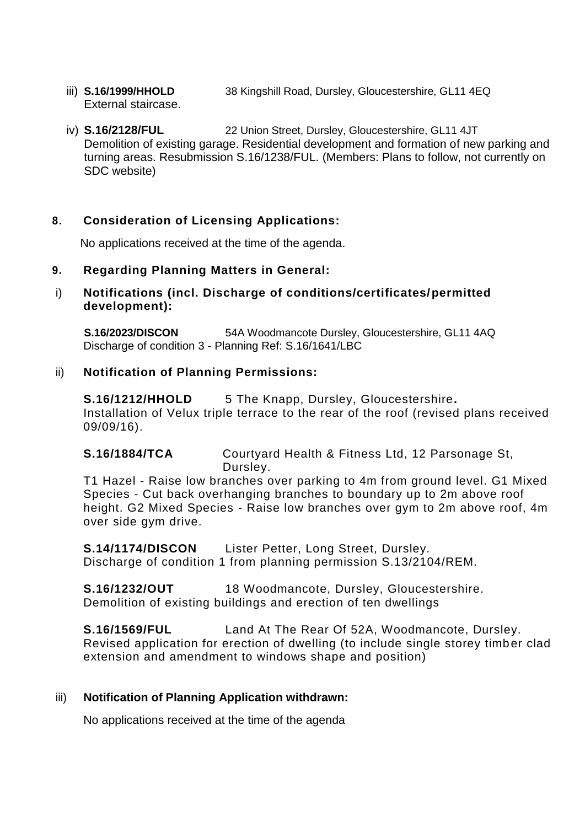- iii) **S.16/1999/HHOLD** 38 Kingshill Road, Dursley, Gloucestershire, GL11 4EQ External staircase.
- iv) **S.16/2128/FUL** 22 Union Street, Dursley, Gloucestershire, GL11 4JT Demolition of existing garage. Residential development and formation of new parking and turning areas. Resubmission S.16/1238/FUL. (Members: Plans to follow, not currently on SDC website)

## **8. Consideration of Licensing Applications:**

No applications received at the time of the agenda.

#### **9. Regarding Planning Matters in General:**

## i) **Notifications (incl. Discharge of conditions/certificates/permitted development):**

**S.16/2023/DISCON** 54A Woodmancote Dursley, Gloucestershire, GL11 4AQ Discharge of condition 3 - Planning Ref: S.16/1641/LBC

#### ii) **Notification of Planning Permissions:**

**S.16/1212/HHOLD** 5 The Knapp, Dursley, Gloucestershire**.**  Installation of Velux triple terrace to the rear of the roof (revised plans received 09/09/16).

**S.16/1884/TCA** Courtyard Health & Fitness Ltd, 12 Parsonage St, Dursley.

T1 Hazel - Raise low branches over parking to 4m from ground level. G1 Mixed Species - Cut back overhanging branches to boundary up to 2m above roof height. G2 Mixed Species - Raise low branches over gym to 2m above roof, 4m over side gym drive.

**S.14/1174/DISCON** Lister Petter, Long Street, Dursley. Discharge of condition 1 from planning permission S.13/2104/REM.

**S.16/1232/OUT** 18 Woodmancote, Dursley, Gloucestershire. Demolition of existing buildings and erection of ten dwellings

**S.16/1569/FUL** Land At The Rear Of 52A, Woodmancote, Dursley. Revised application for erection of dwelling (to include single storey timber clad extension and amendment to windows shape and position)

#### iii) **Notification of Planning Application withdrawn:**

No applications received at the time of the agenda